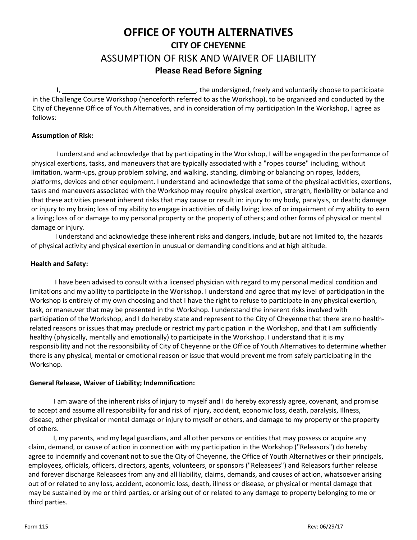### **OFFICE OF YOUTH ALTERNATIVES CITY OF CHEYENNE**  ASSUMPTION OF RISK AND WAIVER OF LIABILITY **Please Read Before Signing**

I, , the undersigned, freely and voluntarily choose to participate in the Challenge Course Workshop (henceforth referred to as the Workshop), to be organized and conducted by the City of Cheyenne Office of Youth Alternatives, and in consideration of my participation In the Workshop, I agree as follows:

#### **Assumption of Risk:**

I understand and acknowledge that by participating in the Workshop, I will be engaged in the performance of physical exertions, tasks, and maneuvers that are typically associated with a "ropes course" including, without limitation, warm‐ups, group problem solving, and walking, standing, climbing or balancing on ropes, ladders, platforms, devices and other equipment. I understand and acknowledge that some of the physical activities, exertions, tasks and maneuvers associated with the Workshop may require physical exertion, strength, flexibility or balance and that these activities present inherent risks that may cause or result in: injury to my body, paralysis, or death; damage or injury to my brain; loss of my ability to engage in activities of daily living; loss of or impairment of my ability to earn a living; loss of or damage to my personal property or the property of others; and other forms of physical or mental damage or injury.

I understand and acknowledge these inherent risks and dangers, include, but are not limited to, the hazards of physical activity and physical exertion in unusual or demanding conditions and at high altitude.

#### **Health and Safety:**

I have been advised to consult with a licensed physician with regard to my personal medical condition and limitations and my ability to participate in the Workshop. I understand and agree that my level of participation in the Workshop is entirely of my own choosing and that I have the right to refuse to participate in any physical exertion, task, or maneuver that may be presented in the Workshop. I understand the inherent risks involved with participation of the Workshop, and I do hereby state and represent to the City of Cheyenne that there are no healthrelated reasons or issues that may preclude or restrict my participation in the Workshop, and that I am sufficiently healthy (physically, mentally and emotionally) to participate in the Workshop. I understand that it is my responsibility and not the responsibility of City of Cheyenne or the Office of Youth Alternatives to determine whether there is any physical, mental or emotional reason or issue that would prevent me from safely participating in the Workshop.

#### **General Release, Waiver of Liability; Indemnification:**

I am aware of the inherent risks of injury to myself and I do hereby expressly agree, covenant, and promise to accept and assume all responsibility for and risk of injury, accident, economic loss, death, paralysis, Illness, disease, other physical or mental damage or injury to myself or others, and damage to my property or the property of others.

I, my parents, and my legal guardians, and all other persons or entities that may possess or acquire any claim, demand, or cause of action in connection with my participation in the Workshop ("Releasors") do hereby agree to indemnify and covenant not to sue the City of Cheyenne, the Office of Youth Alternatives or their principals, employees, officials, officers, directors, agents, volunteers, or sponsors ("Releasees") and Releasors further release and forever discharge Releasees from any and all liability, claims, demands, and causes of action, whatsoever arising out of or related to any loss, accident, economic loss, death, illness or disease, or physical or mental damage that may be sustained by me or third parties, or arising out of or related to any damage to property belonging to me or third parties.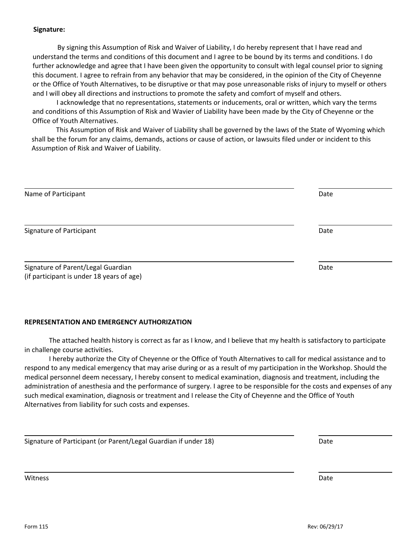#### **Signature:**

By signing this Assumption of Risk and Waiver of Liability, I do hereby represent that I have read and understand the terms and conditions of this document and I agree to be bound by its terms and conditions. I do further acknowledge and agree that I have been given the opportunity to consult with legal counsel prior to signing this document. I agree to refrain from any behavior that may be considered, in the opinion of the City of Cheyenne or the Office of Youth Alternatives, to be disruptive or that may pose unreasonable risks of injury to myself or others and I will obey all directions and instructions to promote the safety and comfort of myself and others.

I acknowledge that no representations, statements or inducements, oral or written, which vary the terms and conditions of this Assumption of Risk and Wavier of Liability have been made by the City of Cheyenne or the Office of Youth Alternatives.

This Assumption of Risk and Waiver of Liability shall be governed by the laws of the State of Wyoming which shall be the forum for any claims, demands, actions or cause of action, or lawsuits filed under or incident to this Assumption of Risk and Waiver of Liability.

| Name of Participant                                                             | Date |
|---------------------------------------------------------------------------------|------|
| Signature of Participant                                                        | Date |
| Signature of Parent/Legal Guardian<br>(if participant is under 18 years of age) | Date |

#### **REPRESENTATION AND EMERGENCY AUTHORIZATION**

The attached health history is correct as far as I know, and I believe that my health is satisfactory to participate in challenge course activities.

I hereby authorize the City of Cheyenne or the Office of Youth Alternatives to call for medical assistance and to respond to any medical emergency that may arise during or as a result of my participation in the Workshop. Should the medical personnel deem necessary, I hereby consent to medical examination, diagnosis and treatment, including the administration of anesthesia and the performance of surgery. I agree to be responsible for the costs and expenses of any such medical examination, diagnosis or treatment and I release the City of Cheyenne and the Office of Youth Alternatives from liability for such costs and expenses.

<u> 1989 - Johann Harry Harry Harry Harry Harry Harry Harry Harry Harry Harry Harry Harry Harry Harry Harry Harry</u>

<u> 1980 - Jan Sarajević, politik i postala i postala i svjetski postala i svoji s postala i svoji s središti i p</u>

| Signature of Participant (or Parent/Legal Guardian if under 18) | Date |
|-----------------------------------------------------------------|------|
|-----------------------------------------------------------------|------|

witness **Date**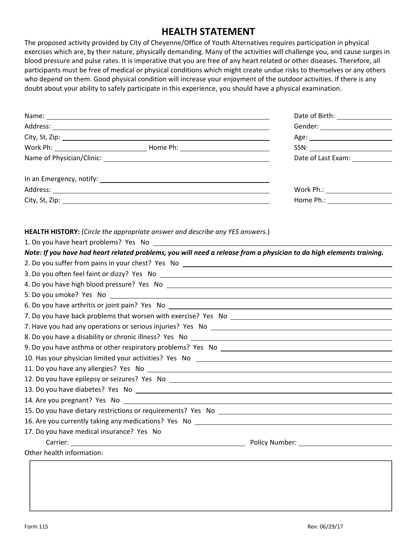### **HEALTH STATEMENT**

The proposed activity provided by City of Cheyenne/Office of Youth Alternatives requires participation in physical exercises which are, by their nature, physically demanding. Many of the activities will challenge you, and cause surges in blood pressure and pulse rates. It is imperative that you are free of any heart related or other diseases. Therefore, all participants must be free of medical or physical conditions which might create undue risks to themselves or any others who depend on them. Good physical condition will increase your enjoyment of the outdoor activities. If there is any doubt about your ability to safely participate in this experience, you should have a physical examination.

|                                                                                                                                                                                                                                      | Gender: ______________________                                                                                 |
|--------------------------------------------------------------------------------------------------------------------------------------------------------------------------------------------------------------------------------------|----------------------------------------------------------------------------------------------------------------|
|                                                                                                                                                                                                                                      |                                                                                                                |
|                                                                                                                                                                                                                                      | Age: North Manager (1995)                                                                                      |
|                                                                                                                                                                                                                                      | $SSN: \underline{\hspace{2.5cm}}$                                                                              |
|                                                                                                                                                                                                                                      | Date of Last Exam: 1988                                                                                        |
|                                                                                                                                                                                                                                      |                                                                                                                |
|                                                                                                                                                                                                                                      |                                                                                                                |
|                                                                                                                                                                                                                                      | Home Ph.: New York Phase Phase Phase Phase Phase Phase Phase Phase Phase Phase Phase Phase Phase Phase Phase P |
| <b>HEALTH HISTORY:</b> (Circle the appropriate answer and describe any YES answers.)                                                                                                                                                 |                                                                                                                |
| 1. Do you have heart problems? Yes No                                                                                                                                                                                                |                                                                                                                |
| Note: If you have had heart related problems, you will need a release from a physician to do high elements training.                                                                                                                 |                                                                                                                |
|                                                                                                                                                                                                                                      |                                                                                                                |
|                                                                                                                                                                                                                                      |                                                                                                                |
|                                                                                                                                                                                                                                      |                                                                                                                |
| 5. Do you smoke? Yes No <b>contract the contract of the contract of the contract of the contract of the contract of the contract of the contract of the contract of the contract of the contract of the contract of the contract</b> |                                                                                                                |
|                                                                                                                                                                                                                                      |                                                                                                                |
|                                                                                                                                                                                                                                      |                                                                                                                |
|                                                                                                                                                                                                                                      |                                                                                                                |
|                                                                                                                                                                                                                                      |                                                                                                                |
|                                                                                                                                                                                                                                      |                                                                                                                |
|                                                                                                                                                                                                                                      |                                                                                                                |
|                                                                                                                                                                                                                                      |                                                                                                                |
|                                                                                                                                                                                                                                      |                                                                                                                |
| 13. Do you have diabetes? Yes No experience with the state of the state of the state of the state of the state of the state of the state of the state of the state of the state of the state of the state of the state of the        |                                                                                                                |
| 14. Are you pregnant? Yes No                                                                                                                                                                                                         |                                                                                                                |
|                                                                                                                                                                                                                                      |                                                                                                                |
|                                                                                                                                                                                                                                      |                                                                                                                |
| 17. Do you have medical insurance? Yes No                                                                                                                                                                                            |                                                                                                                |
|                                                                                                                                                                                                                                      |                                                                                                                |
| Other health information:                                                                                                                                                                                                            |                                                                                                                |